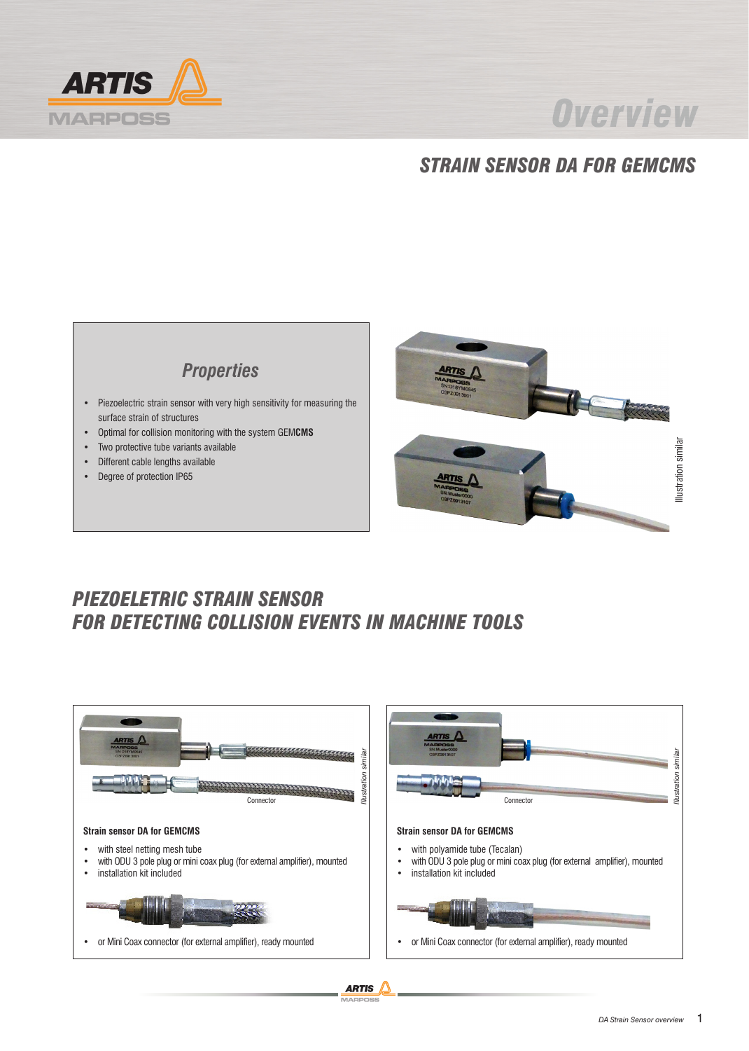

# **Overview**

## *STRAIN SENSOR DA FOR GEMCMS*



- Piezoelectric strain sensor with very high sensitivity for measuring the surface strain of structures
- Optimal for collision monitoring with the system GEM**CMS**
- Two protective tube variants available
- Different cable lengths available
- Degree of protection IP65



### *PIEZOELETRIC STRAIN SENSOR FOR DETECTING COLLISION EVENTS IN MACHINE TOOLS*